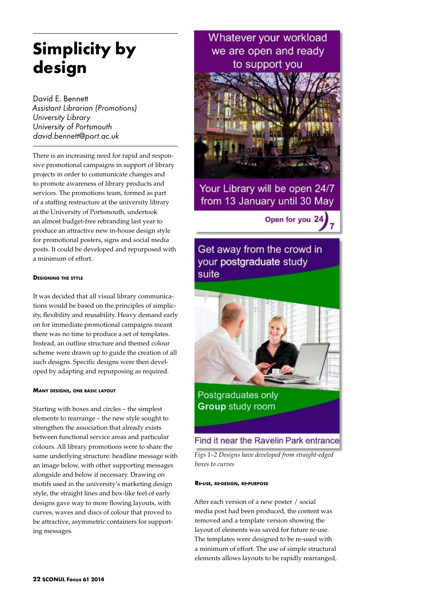# **Simplicity by design**

David E. Bennett *Assistant Librarian (Promotions) University Library University of Portsmouth david.bennett@port.ac.uk*

There is an increasing need for rapid and responsive promotional campaigns in support of library projects in order to communicate changes and to promote awareness of library products and services. The promotions team, formed as part of a staffing restructure at the university library at the University of Portsmouth, undertook an almost budget-free rebranding last year to produce an attractive new in-house design style for promotional posters, signs and social media posts. It could be developed and repurposed with a minimum of effort.

# **Designing the style**

It was decided that all visual library communications would be based on the principles of simplicity, flexibility and reusability. Heavy demand early on for immediate promotional campaigns meant there was no time to produce a set of templates. Instead, an outline structure and themed colour scheme were drawn up to guide the creation of all such designs. Specific designs were then developed by adapting and repurposing as required.

# **Many designs, one basic layout**

Starting with boxes and circles – the simplest elements to rearrange – the new style sought to strengthen the association that already exists between functional service areas and particular colours. All library promotions were to share the same underlying structure: headline message with an image below, with other supporting messages alongside and below if necessary. Drawing on motifs used in the university's marketing design style, the straight lines and box-like feel of early designs gave way to more flowing layouts, with curves, waves and discs of colour that proved to be attractive, asymmetric containers for supporting messages.



Open for you 24



*Figs 1–2 Designs have developed from straight-edged boxes to curves* 

### **Re-use, re-design, re-purpose**

After each version of a new poster / social media post had been produced, the content was removed and a template version showing the layout of elements was saved for future re-use. The templates were designed to be re-used with a minimum of effort. The use of simple structural elements allows layouts to be rapidly rearranged,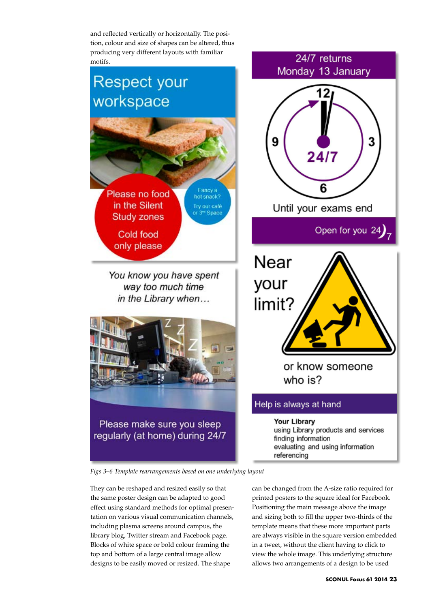and reflected vertically or horizontally. The position, colour and size of shapes can be altered, thus producing very different layouts with familiar motifs.

# **Respect your** workspace Fancy a<br>hot snack? Please no food in the Silent Try our café or 3<sup>-4</sup> Space **Study zones** Cold food only please

You know you have spent way too much time in the Library when...





*Figs 3–6 Template rearrangements based on one underlying layout*

They can be reshaped and resized easily so that the same poster design can be adapted to good effect using standard methods for optimal presentation on various visual communication channels, including plasma screens around campus, the library blog, Twitter stream and Facebook page. Blocks of white space or bold colour framing the top and bottom of a large central image allow designs to be easily moved or resized. The shape

can be changed from the A-size ratio required for printed posters to the square ideal for Facebook. Positioning the main message above the image and sizing both to fill the upper two-thirds of the template means that these more important parts are always visible in the square version embedded in a tweet, without the client having to click to view the whole image. This underlying structure allows two arrangements of a design to be used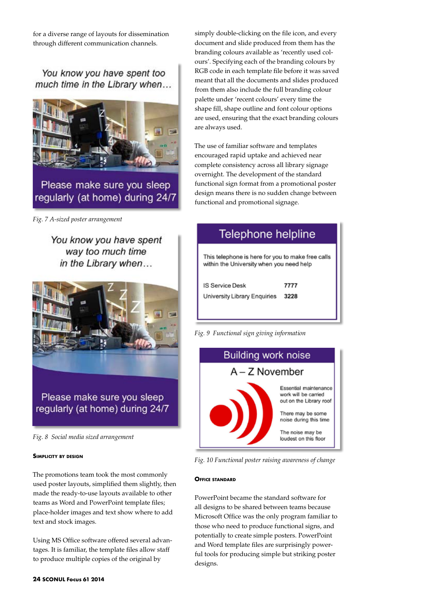for a diverse range of layouts for dissemination through different communication channels.

You know you have spent too much time in the Library when...



*Fig. 7 A-sized poster arrangement*

You know you have spent way too much time in the Library when...



Please make sure you sleep regularly (at home) during 24/7

*Fig. 8 Social media sized arrangement*

# **Simplicity by design**

The promotions team took the most commonly used poster layouts, simplified them slightly, then made the ready-to-use layouts available to other teams as Word and PowerPoint template files; place-holder images and text show where to add text and stock images.

Using MS Office software offered several advantages. It is familiar, the template files allow staff to produce multiple copies of the original by

simply double-clicking on the file icon, and every document and slide produced from them has the branding colours available as 'recently used colours'. Specifying each of the branding colours by RGB code in each template file before it was saved meant that all the documents and slides produced from them also include the full branding colour palette under 'recent colours' every time the shape fill, shape outline and font colour options are used, ensuring that the exact branding colours are always used.

The use of familiar software and templates encouraged rapid uptake and achieved near complete consistency across all library signage overnight. The development of the standard functional sign format from a promotional poster design means there is no sudden change between functional and promotional signage.

| Telephone helpline                                                                            |      |
|-----------------------------------------------------------------------------------------------|------|
| This telephone is here for you to make free calls<br>within the University when you need help |      |
| <b>IS Service Desk</b>                                                                        | 7777 |
| University Library Enquiries                                                                  | 3228 |
|                                                                                               |      |

*Fig. 9 Functional sign giving information*



*Fig. 10 Functional poster raising awareness of change*

# **Office standard**

PowerPoint became the standard software for all designs to be shared between teams because Microsoft Office was the only program familiar to those who need to produce functional signs, and potentially to create simple posters. PowerPoint and Word template files are surprisingly powerful tools for producing simple but striking poster designs.